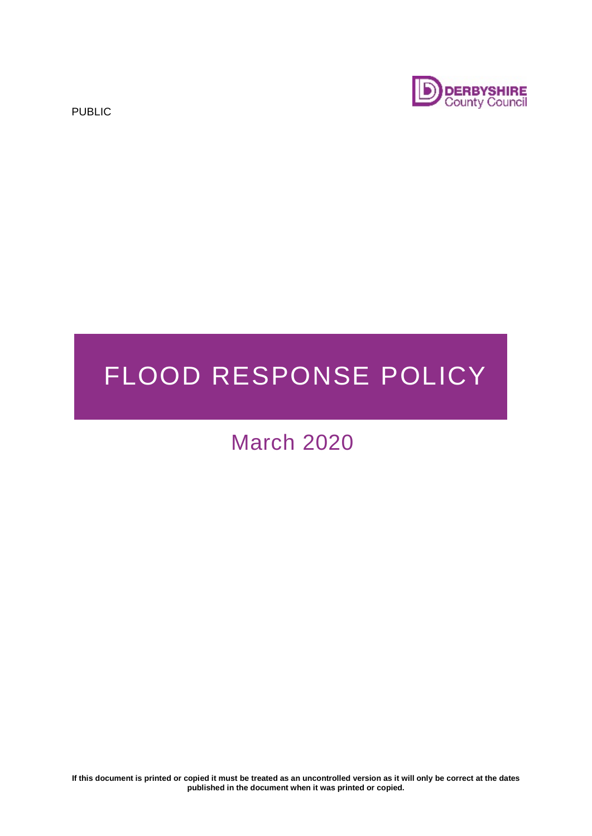PUBLIC



# FLOOD RESPONSE POLICY

# March 2020

**If this document is printed or copied it must be treated as an uncontrolled version as it will only be correct at the dates published in the document when it was printed or copied.**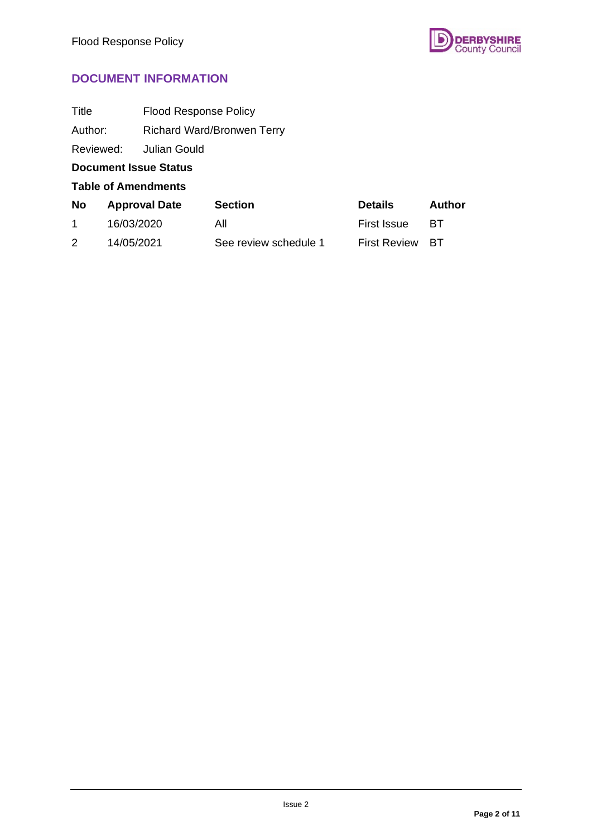

# **DOCUMENT INFORMATION**

| Title                      |                              | <b>Flood Response Policy</b>      |                       |                     |        |  |
|----------------------------|------------------------------|-----------------------------------|-----------------------|---------------------|--------|--|
| Author:                    |                              | <b>Richard Ward/Bronwen Terry</b> |                       |                     |        |  |
|                            | Reviewed:                    | Julian Gould                      |                       |                     |        |  |
|                            | <b>Document Issue Status</b> |                                   |                       |                     |        |  |
| <b>Table of Amendments</b> |                              |                                   |                       |                     |        |  |
| <b>No</b>                  | <b>Approval Date</b>         |                                   | <b>Section</b>        | <b>Details</b>      | Author |  |
| $\mathbf{1}$               | 16/03/2020                   |                                   | All                   | <b>First Issue</b>  | ВT     |  |
| 2                          | 14/05/2021                   |                                   | See review schedule 1 | <b>First Review</b> | BТ     |  |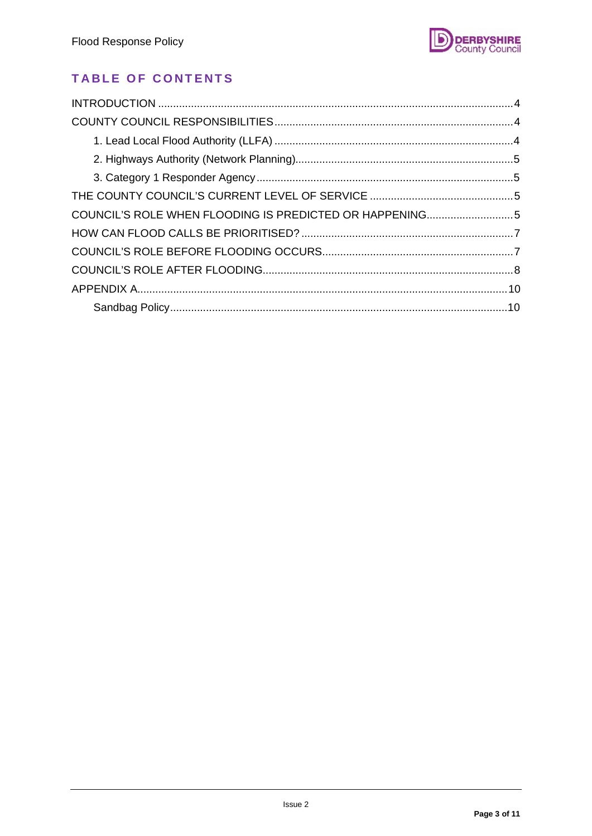

# **TABLE OF CONTENTS**

| COUNCIL'S ROLE WHEN FLOODING IS PREDICTED OR HAPPENING5 |  |  |  |
|---------------------------------------------------------|--|--|--|
|                                                         |  |  |  |
|                                                         |  |  |  |
|                                                         |  |  |  |
|                                                         |  |  |  |
|                                                         |  |  |  |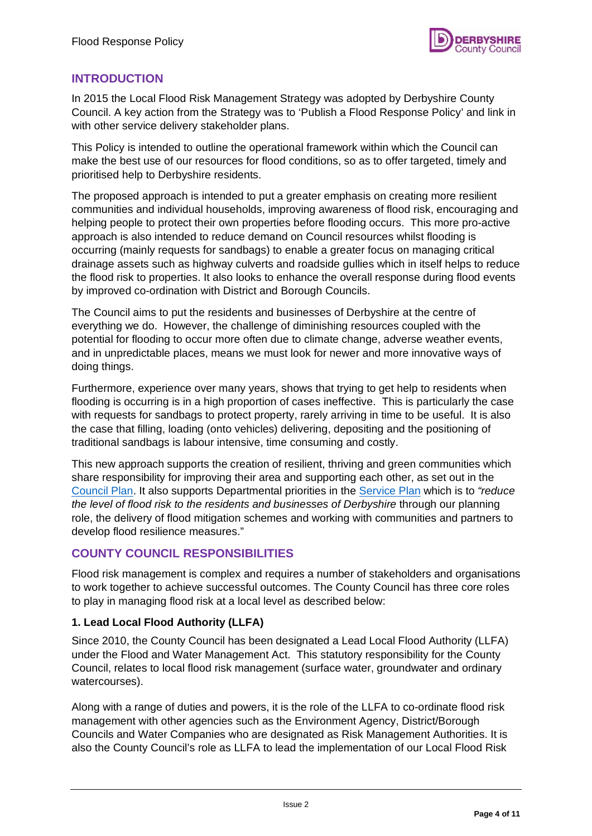

#### <span id="page-3-0"></span>**INTRODUCTION**

In 2015 the Local Flood Risk Management Strategy was adopted by Derbyshire County Council. A key action from the Strategy was to 'Publish a Flood Response Policy' and link in with other service delivery stakeholder plans.

This Policy is intended to outline the operational framework within which the Council can make the best use of our resources for flood conditions, so as to offer targeted, timely and prioritised help to Derbyshire residents.

The proposed approach is intended to put a greater emphasis on creating more resilient communities and individual households, improving awareness of flood risk, encouraging and helping people to protect their own properties before flooding occurs. This more pro-active approach is also intended to reduce demand on Council resources whilst flooding is occurring (mainly requests for sandbags) to enable a greater focus on managing critical drainage assets such as highway culverts and roadside gullies which in itself helps to reduce the flood risk to properties. It also looks to enhance the overall response during flood events by improved co-ordination with District and Borough Councils.

The Council aims to put the residents and businesses of Derbyshire at the centre of everything we do. However, the challenge of diminishing resources coupled with the potential for flooding to occur more often due to climate change, adverse weather events, and in unpredictable places, means we must look for newer and more innovative ways of doing things.

Furthermore, experience over many years, shows that trying to get help to residents when flooding is occurring is in a high proportion of cases ineffective. This is particularly the case with requests for sandbags to protect property, rarely arriving in time to be useful. It is also the case that filling, loading (onto vehicles) delivering, depositing and the positioning of traditional sandbags is labour intensive, time consuming and costly.

This new approach supports the creation of resilient, thriving and green communities which share responsibility for improving their area and supporting each other, as set out in the [Council Plan.](https://www.derbyshire.gov.uk/council/policies-plans/council-plan/introduction-to-the-council-plan/introduction-to-the-council-plan.aspx) It also supports Departmental priorities in the [Service Plan](https://democracy.derbyshire.gov.uk/ieListDocuments.aspx?CId=135&MId=650&Ver=4) which is to *"reduce the level of flood risk to the residents and businesses of Derbyshire* through our planning role, the delivery of flood mitigation schemes and working with communities and partners to develop flood resilience measures."

#### <span id="page-3-1"></span>**COUNTY COUNCIL RESPONSIBILITIES**

Flood risk management is complex and requires a number of stakeholders and organisations to work together to achieve successful outcomes. The County Council has three core roles to play in managing flood risk at a local level as described below:

#### <span id="page-3-2"></span>**1. Lead Local Flood Authority (LLFA)**

Since 2010, the County Council has been designated a Lead Local Flood Authority (LLFA) under the Flood and Water Management Act. This statutory responsibility for the County Council, relates to local flood risk management (surface water, groundwater and ordinary watercourses).

Along with a range of duties and powers, it is the role of the LLFA to co-ordinate flood risk management with other agencies such as the Environment Agency, District/Borough Councils and Water Companies who are designated as Risk Management Authorities. It is also the County Council's role as LLFA to lead the implementation of our Local Flood Risk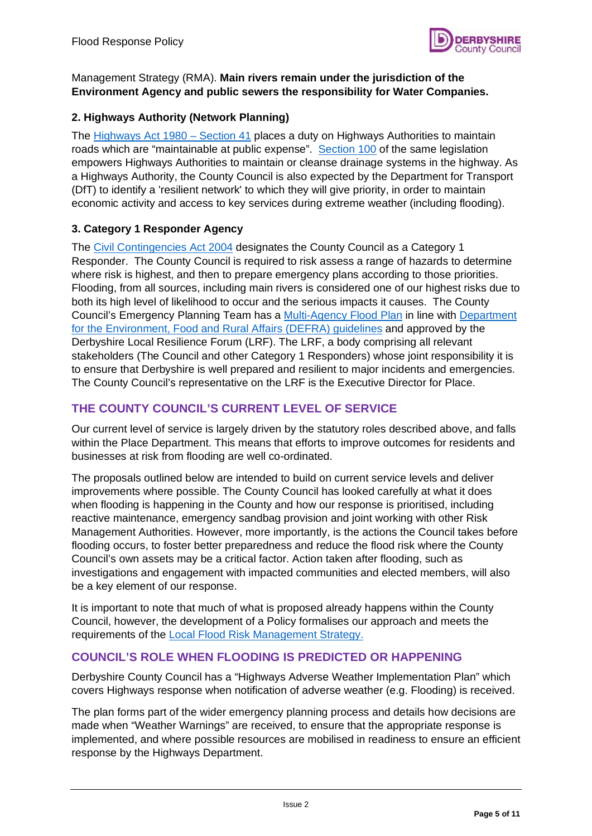

#### Management Strategy (RMA). **Main rivers remain under the jurisdiction of the Environment Agency and public sewers the responsibility for Water Companies.**

#### <span id="page-4-0"></span>**2. Highways Authority (Network Planning)**

The [Highways Act 1980 – Section 41](http://www.legislation.gov.uk/ukpga/1980/66/section/41) places a duty on Highways Authorities to maintain roads which are "maintainable at public expense". [Section 100](http://www.legislation.gov.uk/ukpga/1980/66/section/100) of the same legislation empowers Highways Authorities to maintain or cleanse drainage systems in the highway. As a Highways Authority, the County Council is also expected by the Department for Transport (DfT) to identify a 'resilient network' to which they will give priority, in order to maintain economic activity and access to key services during extreme weather (including flooding).

#### <span id="page-4-1"></span>**3. Category 1 Responder Agency**

The [Civil Contingencies Act 2004](http://www.legislation.gov.uk/ukpga/2004/36/contents) designates the County Council as a Category 1 Responder. The County Council is required to risk assess a range of hazards to determine where risk is highest, and then to prepare emergency plans according to those priorities. Flooding, from all sources, including main rivers is considered one of our highest risks due to both its high level of likelihood to occur and the serious impacts it causes. The County Council's Emergency Planning Team has a [Multi-Agency Flood Plan](https://www.derbyshireprepared.org.uk/risks-derbyshire/flooding/) in line with [Department](https://www.gov.uk/government/publications/flooding-developing-a-multi-agency-flood-plan/developing-a-multi-agency-flood-plan)  [for the Environment, Food and Rural Affairs \(DEFRA\) guidelines](https://www.gov.uk/government/publications/flooding-developing-a-multi-agency-flood-plan/developing-a-multi-agency-flood-plan) and approved by the Derbyshire Local Resilience Forum (LRF). The LRF, a body comprising all relevant stakeholders (The Council and other Category 1 Responders) whose joint responsibility it is to ensure that Derbyshire is well prepared and resilient to major incidents and emergencies. The County Council's representative on the LRF is the Executive Director for Place.

#### <span id="page-4-2"></span>**THE COUNTY COUNCIL'S CURRENT LEVEL OF SERVICE**

Our current level of service is largely driven by the statutory roles described above, and falls within the Place Department. This means that efforts to improve outcomes for residents and businesses at risk from flooding are well co-ordinated.

The proposals outlined below are intended to build on current service levels and deliver improvements where possible. The County Council has looked carefully at what it does when flooding is happening in the County and how our response is prioritised, including reactive maintenance, emergency sandbag provision and joint working with other Risk Management Authorities. However, more importantly, is the actions the Council takes before flooding occurs, to foster better preparedness and reduce the flood risk where the County Council's own assets may be a critical factor. Action taken after flooding, such as investigations and engagement with impacted communities and elected members, will also be a key element of our response.

It is important to note that much of what is proposed already happens within the County Council, however, the development of a Policy formalises our approach and meets the requirements of the [Local Flood Risk Management Strategy.](https://www.derbyshire.gov.uk/environment/flooding/strategy/local-flood-risk-management-strategy.aspx) 

#### <span id="page-4-3"></span>**COUNCIL'S ROLE WHEN FLOODING IS PREDICTED OR HAPPENING**

Derbyshire County Council has a "Highways Adverse Weather Implementation Plan" which covers Highways response when notification of adverse weather (e.g. Flooding) is received.

The plan forms part of the wider emergency planning process and details how decisions are made when "Weather Warnings" are received, to ensure that the appropriate response is implemented, and where possible resources are mobilised in readiness to ensure an efficient response by the Highways Department.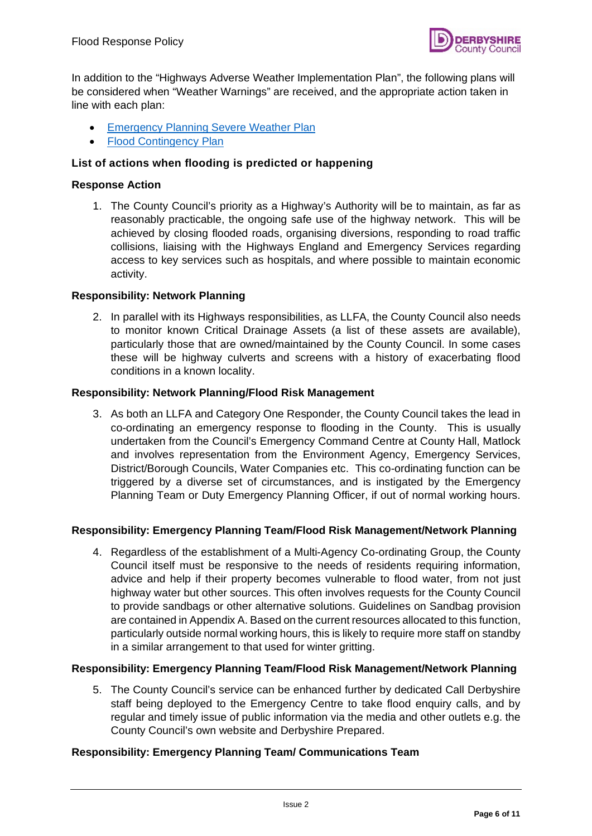

In addition to the "Highways Adverse Weather Implementation Plan", the following plans will be considered when "Weather Warnings" are received, and the appropriate action taken in line with each plan:

- [Emergency Planning Severe Weather Plan](https://www.derbyshireprepared.org.uk/risks-derbyshire/severe-weather/)
- **[Flood Contingency Plan](https://www.derbyshireprepared.org.uk/risks-derbyshire/flooding/)**

#### **List of actions when flooding is predicted or happening**

#### **Response Action**

1. The County Council's priority as a Highway's Authority will be to maintain, as far as reasonably practicable, the ongoing safe use of the highway network. This will be achieved by closing flooded roads, organising diversions, responding to road traffic collisions, liaising with the Highways England and Emergency Services regarding access to key services such as hospitals, and where possible to maintain economic activity.

#### **Responsibility: Network Planning**

2. In parallel with its Highways responsibilities, as LLFA, the County Council also needs to monitor known Critical Drainage Assets (a list of these assets are available), particularly those that are owned/maintained by the County Council. In some cases these will be highway culverts and screens with a history of exacerbating flood conditions in a known locality.

#### **Responsibility: Network Planning/Flood Risk Management**

3. As both an LLFA and Category One Responder, the County Council takes the lead in co-ordinating an emergency response to flooding in the County. This is usually undertaken from the Council's Emergency Command Centre at County Hall, Matlock and involves representation from the Environment Agency, Emergency Services, District/Borough Councils, Water Companies etc. This co-ordinating function can be triggered by a diverse set of circumstances, and is instigated by the Emergency Planning Team or Duty Emergency Planning Officer, if out of normal working hours.

#### **Responsibility: Emergency Planning Team/Flood Risk Management/Network Planning**

4. Regardless of the establishment of a Multi-Agency Co-ordinating Group, the County Council itself must be responsive to the needs of residents requiring information, advice and help if their property becomes vulnerable to flood water, from not just highway water but other sources. This often involves requests for the County Council to provide sandbags or other alternative solutions. Guidelines on Sandbag provision are contained in Appendix A. Based on the current resources allocated to this function, particularly outside normal working hours, this is likely to require more staff on standby in a similar arrangement to that used for winter gritting.

#### **Responsibility: Emergency Planning Team/Flood Risk Management/Network Planning**

5. The County Council's service can be enhanced further by dedicated Call Derbyshire staff being deployed to the Emergency Centre to take flood enquiry calls, and by regular and timely issue of public information via the media and other outlets e.g. the County Council's own website and Derbyshire Prepared.

#### **Responsibility: Emergency Planning Team/ Communications Team**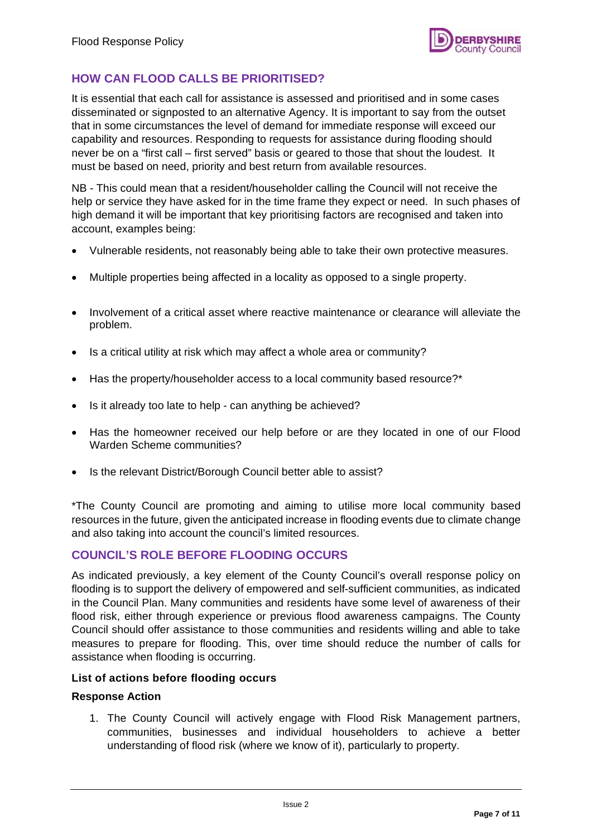## <span id="page-6-0"></span>**HOW CAN FLOOD CALLS BE PRIORITISED?**

It is essential that each call for assistance is assessed and prioritised and in some cases disseminated or signposted to an alternative Agency. It is important to say from the outset that in some circumstances the level of demand for immediate response will exceed our capability and resources. Responding to requests for assistance during flooding should never be on a "first call – first served" basis or geared to those that shout the loudest. It must be based on need, priority and best return from available resources.

NB - This could mean that a resident/householder calling the Council will not receive the help or service they have asked for in the time frame they expect or need. In such phases of high demand it will be important that key prioritising factors are recognised and taken into account, examples being:

- Vulnerable residents, not reasonably being able to take their own protective measures.
- Multiple properties being affected in a locality as opposed to a single property.
- Involvement of a critical asset where reactive maintenance or clearance will alleviate the problem.
- Is a critical utility at risk which may affect a whole area or community?
- Has the property/householder access to a local community based resource?\*
- Is it already too late to help can anything be achieved?
- Has the homeowner received our help before or are they located in one of our Flood Warden Scheme communities?
- Is the relevant District/Borough Council better able to assist?

\*The County Council are promoting and aiming to utilise more local community based resources in the future, given the anticipated increase in flooding events due to climate change and also taking into account the council's limited resources.

#### <span id="page-6-1"></span>**COUNCIL'S ROLE BEFORE FLOODING OCCURS**

As indicated previously, a key element of the County Council's overall response policy on flooding is to support the delivery of empowered and self-sufficient communities, as indicated in the Council Plan. Many communities and residents have some level of awareness of their flood risk, either through experience or previous flood awareness campaigns. The County Council should offer assistance to those communities and residents willing and able to take measures to prepare for flooding. This, over time should reduce the number of calls for assistance when flooding is occurring.

#### **List of actions before flooding occurs**

#### **Response Action**

1. The County Council will actively engage with Flood Risk Management partners, communities, businesses and individual householders to achieve a better understanding of flood risk (where we know of it), particularly to property.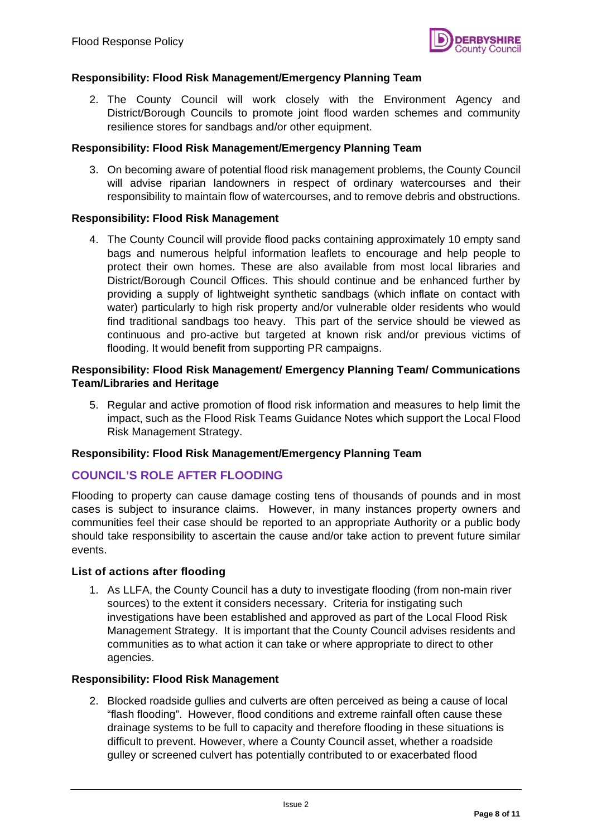

#### **Responsibility: Flood Risk Management/Emergency Planning Team**

2. The County Council will work closely with the Environment Agency and District/Borough Councils to promote joint flood warden schemes and community resilience stores for sandbags and/or other equipment.

#### **Responsibility: Flood Risk Management/Emergency Planning Team**

3. On becoming aware of potential flood risk management problems, the County Council will advise riparian landowners in respect of ordinary watercourses and their responsibility to maintain flow of watercourses, and to remove debris and obstructions.

#### **Responsibility: Flood Risk Management**

4. The County Council will provide flood packs containing approximately 10 empty sand bags and numerous helpful information leaflets to encourage and help people to protect their own homes. These are also available from most local libraries and District/Borough Council Offices. This should continue and be enhanced further by providing a supply of lightweight synthetic sandbags (which inflate on contact with water) particularly to high risk property and/or vulnerable older residents who would find traditional sandbags too heavy. This part of the service should be viewed as continuous and pro-active but targeted at known risk and/or previous victims of flooding. It would benefit from supporting PR campaigns.

#### **Responsibility: Flood Risk Management/ Emergency Planning Team/ Communications Team/Libraries and Heritage**

5. Regular and active promotion of flood risk information and measures to help limit the impact, such as the Flood Risk Teams Guidance Notes which support the Local Flood Risk Management Strategy.

#### **Responsibility: Flood Risk Management/Emergency Planning Team**

#### <span id="page-7-0"></span>**COUNCIL'S ROLE AFTER FLOODING**

Flooding to property can cause damage costing tens of thousands of pounds and in most cases is subject to insurance claims. However, in many instances property owners and communities feel their case should be reported to an appropriate Authority or a public body should take responsibility to ascertain the cause and/or take action to prevent future similar events.

#### **List of actions after flooding**

1. As LLFA, the County Council has a duty to investigate flooding (from non-main river sources) to the extent it considers necessary. Criteria for instigating such investigations have been established and approved as part of the Local Flood Risk Management Strategy. It is important that the County Council advises residents and communities as to what action it can take or where appropriate to direct to other agencies.

#### **Responsibility: Flood Risk Management**

2. Blocked roadside gullies and culverts are often perceived as being a cause of local "flash flooding". However, flood conditions and extreme rainfall often cause these drainage systems to be full to capacity and therefore flooding in these situations is difficult to prevent. However, where a County Council asset, whether a roadside gulley or screened culvert has potentially contributed to or exacerbated flood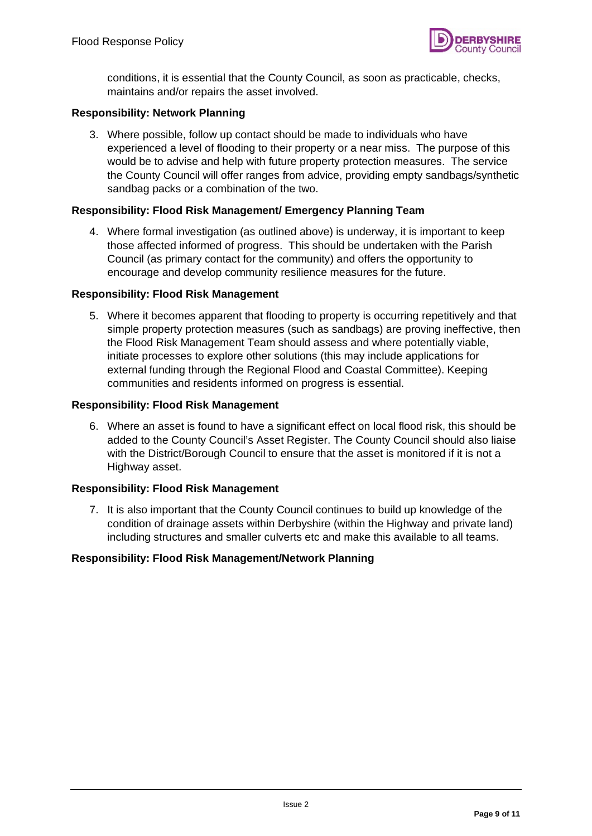

conditions, it is essential that the County Council, as soon as practicable, checks, maintains and/or repairs the asset involved.

#### **Responsibility: Network Planning**

3. Where possible, follow up contact should be made to individuals who have experienced a level of flooding to their property or a near miss. The purpose of this would be to advise and help with future property protection measures. The service the County Council will offer ranges from advice, providing empty sandbags/synthetic sandbag packs or a combination of the two.

#### **Responsibility: Flood Risk Management/ Emergency Planning Team**

4. Where formal investigation (as outlined above) is underway, it is important to keep those affected informed of progress. This should be undertaken with the Parish Council (as primary contact for the community) and offers the opportunity to encourage and develop community resilience measures for the future.

#### **Responsibility: Flood Risk Management**

5. Where it becomes apparent that flooding to property is occurring repetitively and that simple property protection measures (such as sandbags) are proving ineffective, then the Flood Risk Management Team should assess and where potentially viable, initiate processes to explore other solutions (this may include applications for external funding through the Regional Flood and Coastal Committee). Keeping communities and residents informed on progress is essential.

#### **Responsibility: Flood Risk Management**

6. Where an asset is found to have a significant effect on local flood risk, this should be added to the County Council's Asset Register. The County Council should also liaise with the District/Borough Council to ensure that the asset is monitored if it is not a Highway asset.

#### **Responsibility: Flood Risk Management**

7. It is also important that the County Council continues to build up knowledge of the condition of drainage assets within Derbyshire (within the Highway and private land) including structures and smaller culverts etc and make this available to all teams.

#### **Responsibility: Flood Risk Management/Network Planning**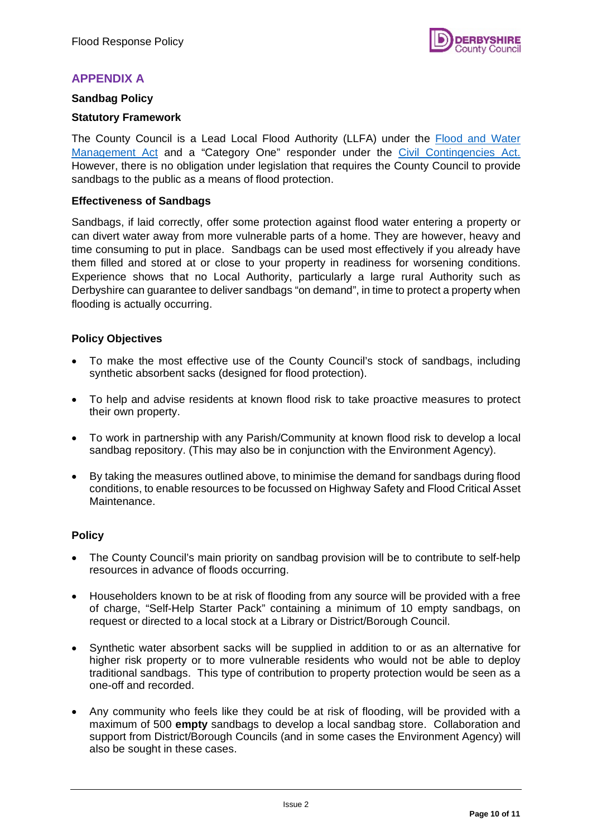### <span id="page-9-0"></span>**APPENDIX A**

#### <span id="page-9-1"></span>**Sandbag Policy**

#### **Statutory Framework**

The County Council is a Lead Local Flood Authority (LLFA) under the Flood and Water [Management Act](http://www.legislation.gov.uk/ukpga/2010/29/contents) and a "Category One" responder under the [Civil Contingencies Act.](http://www.legislation.gov.uk/ukpga/2004/36/contents)  However, there is no obligation under legislation that requires the County Council to provide sandbags to the public as a means of flood protection.

#### **Effectiveness of Sandbags**

Sandbags, if laid correctly, offer some protection against flood water entering a property or can divert water away from more vulnerable parts of a home. They are however, heavy and time consuming to put in place. Sandbags can be used most effectively if you already have them filled and stored at or close to your property in readiness for worsening conditions. Experience shows that no Local Authority, particularly a large rural Authority such as Derbyshire can guarantee to deliver sandbags "on demand", in time to protect a property when flooding is actually occurring.

#### **Policy Objectives**

- To make the most effective use of the County Council's stock of sandbags, including synthetic absorbent sacks (designed for flood protection).
- To help and advise residents at known flood risk to take proactive measures to protect their own property.
- To work in partnership with any Parish/Community at known flood risk to develop a local sandbag repository. (This may also be in conjunction with the Environment Agency).
- By taking the measures outlined above, to minimise the demand for sandbags during flood conditions, to enable resources to be focussed on Highway Safety and Flood Critical Asset Maintenance.

#### **Policy**

- The County Council's main priority on sandbag provision will be to contribute to self-help resources in advance of floods occurring.
- Householders known to be at risk of flooding from any source will be provided with a free of charge, "Self-Help Starter Pack" containing a minimum of 10 empty sandbags, on request or directed to a local stock at a Library or District/Borough Council.
- Synthetic water absorbent sacks will be supplied in addition to or as an alternative for higher risk property or to more vulnerable residents who would not be able to deploy traditional sandbags. This type of contribution to property protection would be seen as a one-off and recorded.
- Any community who feels like they could be at risk of flooding, will be provided with a maximum of 500 **empty** sandbags to develop a local sandbag store. Collaboration and support from District/Borough Councils (and in some cases the Environment Agency) will also be sought in these cases.